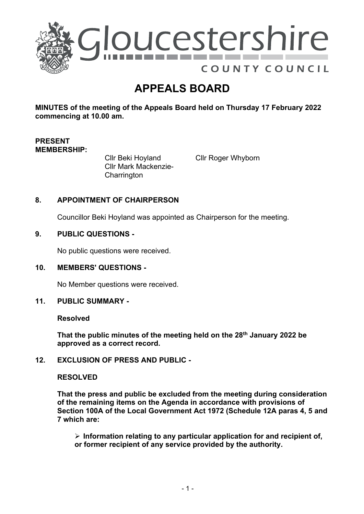

# **APPEALS BOARD**

**MINUTES of the meeting of the Appeals Board held on Thursday 17 February 2022 commencing at 10.00 am.**

# **PRESENT MEMBERSHIP:**

Cllr Beki Hoyland Cllr Mark Mackenzie-**Charrington** 

Cllr Roger Whyborn

# **8. APPOINTMENT OF CHAIRPERSON**

Councillor Beki Hoyland was appointed as Chairperson for the meeting.

## **9. PUBLIC QUESTIONS -**

No public questions were received.

## **10. MEMBERS' QUESTIONS -**

No Member questions were received.

#### **11. PUBLIC SUMMARY -**

#### **Resolved**

**That the public minutes of the meeting held on the 28th January 2022 be approved as a correct record.** 

## **12. EXCLUSION OF PRESS AND PUBLIC -**

#### **RESOLVED**

**That the press and public be excluded from the meeting during consideration of the remaining items on the Agenda in accordance with provisions of Section 100A of the Local Government Act 1972 (Schedule 12A paras 4, 5 and 7 which are:**

 **Information relating to any particular application for and recipient of, or former recipient of any service provided by the authority.**